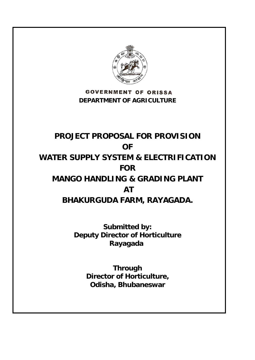

**GOVERNMENT OF ORISSA DEPARTMENT OF AGRICULTURE** 

# **PROJECT PROPOSAL FOR PROVISION OF WATER SUPPLY SYSTEM & ELECTRIFICATION FOR MANGO HANDLING & GRADING PLANT AT BHAKURGUDA FARM, RAYAGADA.**

**Submitted by: Deputy Director of Horticulture Rayagada** 

> **Through Director of Horticulture, Odisha, Bhubaneswar**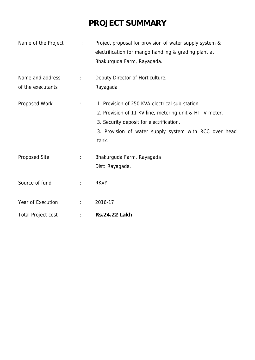# **PROJECT SUMMARY**

| Name of the Project                   | $\ddot{\phantom{0}}$ | Project proposal for provision of water supply system &<br>electrification for mango handling & grading plant at<br>Bhakurguda Farm, Rayagada.                                                                            |  |  |
|---------------------------------------|----------------------|---------------------------------------------------------------------------------------------------------------------------------------------------------------------------------------------------------------------------|--|--|
| Name and address<br>of the executants | $\ddot{\cdot}$       | Deputy Director of Horticulture,<br>Rayagada                                                                                                                                                                              |  |  |
| Proposed Work                         | $\ddot{\Sigma}$      | 1. Provision of 250 KVA electrical sub-station.<br>2. Provision of 11 KV line, metering unit & HTTV meter.<br>3. Security deposit for electrification.<br>3. Provision of water supply system with RCC over head<br>tank. |  |  |
| Proposed Site                         | $\ddot{\cdot}$       | Bhakurguda Farm, Rayagada<br>Dist: Rayagada.                                                                                                                                                                              |  |  |
| Source of fund                        | $\ddot{\cdot}$       | <b>RKVY</b>                                                                                                                                                                                                               |  |  |
| Year of Execution                     | $\mathbb{R}^{n}$     | 2016-17                                                                                                                                                                                                                   |  |  |
| <b>Total Project cost</b>             |                      | <b>Rs.24.22 Lakh</b>                                                                                                                                                                                                      |  |  |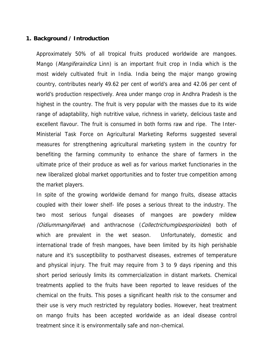#### **1. Background / Introduction**

Approximately 50% of all tropical fruits produced worldwide are mangoes. Mango (*Mangiferaindica* Linn) is an important fruit crop in India which is the most widely cultivated fruit in India. India being the major mango growing country, contributes nearly 49.62 per cent of world's area and 42.06 per cent of world's production respectively. Area under mango crop in Andhra Pradesh is the highest in the country. The fruit is very popular with the masses due to its wide range of adaptability, high nutritive value, richness in variety, delicious taste and excellent flavour. The fruit is consumed in both forms raw and ripe. The Inter-Ministerial Task Force on Agricultural Marketing Reforms suggested several measures for strengthening agricultural marketing system in the country for benefiting the farming community to enhance the share of farmers in the ultimate price of their produce as well as for various market functionaries in the new liberalized global market opportunities and to foster true competition among the market players.

In spite of the growing worldwide demand for mango fruits, disease attacks coupled with their lower shelf- life poses a serious threat to the industry. The two most serious fungal diseases of mangoes are powdery mildew (Oidiummangiferae) and anthracnose (Collectrichumgloesporioides) both of which are prevalent in the wet season. Unfortunately, domestic and international trade of fresh mangoes, have been limited by its high perishable nature and it's susceptibility to postharvest diseases, extremes of temperature and physical injury. The fruit may require from 3 to 9 days ripening and this short period seriously limits its commercialization in distant markets. Chemical treatments applied to the fruits have been reported to leave residues of the chemical on the fruits. This poses a significant health risk to the consumer and their use is very much restricted by regulatory bodies. However, heat treatment on mango fruits has been accepted worldwide as an ideal disease control treatment since it is environmentally safe and non-chemical.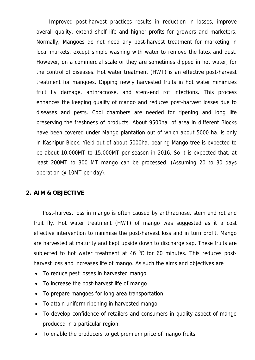Improved post-harvest practices results in reduction in losses, improve overall quality, extend shelf life and higher profits for growers and marketers. Normally, Mangoes do not need any post-harvest treatment for marketing in local markets, except simple washing with water to remove the latex and dust. However, on a commercial scale or they are sometimes dipped in hot water, for the control of diseases. Hot water treatment (HWT) is an effective post-harvest treatment for mangoes. Dipping newly harvested fruits in hot water minimizes fruit fly damage, anthracnose, and stem-end rot infections. This process enhances the keeping quality of mango and reduces post-harvest losses due to diseases and pests. Cool chambers are needed for ripening and long life preserving the freshness of products. About 9500ha. of area in different Blocks have been covered under Mango plantation out of which about 5000 ha. is only in Kashipur Block. Yield out of about 5000ha. bearing Mango tree is expected to be about 10,000MT to 15,000MT per season in 2016. So it is expected that, at least 200MT to 300 MT mango can be processed. (Assuming 20 to 30 days operation @ 10MT per day).

### **2. AIM & OBJECTIVE**

Post-harvest loss in mango is often caused by anthracnose, stem end rot and fruit fly. Hot water treatment (HWT) of mango was suggested as it a cost effective intervention to minimise the post-harvest loss and in turn profit. Mango are harvested at maturity and kept upside down to discharge sap. These fruits are subjected to hot water treatment at 46  $^{\circ}$ C for 60 minutes. This reduces postharvest loss and increases life of mango. As such the aims and objectives are

- To reduce pest losses in harvested mango
- To increase the post-harvest life of mango
- To prepare mangoes for long area transportation
- To attain uniform ripening in harvested mango
- To develop confidence of retailers and consumers in quality aspect of mango produced in a particular region.
- To enable the producers to get premium price of mango fruits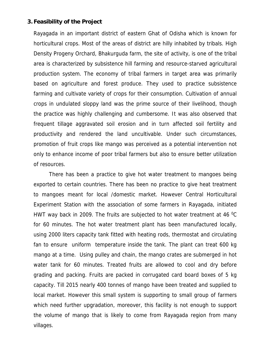### **3. Feasibility of the Project**

Rayagada in an important district of eastern Ghat of Odisha which is known for horticultural crops. Most of the areas of district are hilly inhabited by tribals. High Density Progeny Orchard, Bhakurguda farm, the site of activity, is one of the tribal area is characterized by subsistence hill farming and resource-starved agricultural production system. The economy of tribal farmers in target area was primarily based on agriculture and forest produce. They used to practice subsistence farming and cultivate variety of crops for their consumption. Cultivation of annual crops in undulated sloppy land was the prime source of their livelihood, though the practice was highly challenging and cumbersome. It was also observed that frequent tillage aggravated soil erosion and in turn affected soil fertility and productivity and rendered the land uncultivable. Under such circumstances, promotion of fruit crops like mango was perceived as a potential intervention not only to enhance income of poor tribal farmers but also to ensure better utilization of resources.

There has been a practice to give hot water treatment to mangoes being exported to certain countries. There has been no practice to give heat treatment to mangoes meant for local /domestic market. However Central Horticultural Experiment Station with the association of some farmers in Rayagada, initiated HWT way back in 2009. The fruits are subjected to hot water treatment at 46  $^{\circ}$ C for 60 minutes. The hot water treatment plant has been manufactured locally, using 2000 liters capacity tank fitted with heating rods, thermostat and circulating fan to ensure uniform temperature inside the tank. The plant can treat 600 kg mango at a time. Using pulley and chain, the mango crates are submerged in hot water tank for 60 minutes. Treated fruits are allowed to cool and dry before grading and packing. Fruits are packed in corrugated card board boxes of 5 kg capacity. Till 2015 nearly 400 tonnes of mango have been treated and supplied to local market. However this small system is supporting to small group of farmers which need further upgradation, moreover, this facility is not enough to support the volume of mango that is likely to come from Rayagada region from many villages.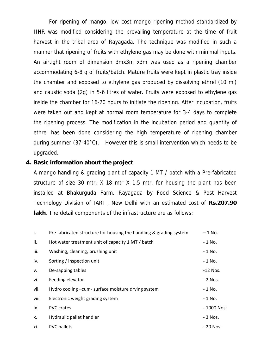For ripening of mango, low cost mango ripening method standardized by IIHR was modified considering the prevailing temperature at the time of fruit harvest in the tribal area of Rayagada. The technique was modified in such a manner that ripening of fruits with ethylene gas may be done with minimal inputs. An airtight room of dimension 3mx3m x3m was used as a ripening chamber accommodating 6-8 q of fruits/batch. Mature fruits were kept in plastic tray inside the chamber and exposed to ethylene gas produced by dissolving ethrel (10 ml) and caustic soda (2g) in 5-6 litres of water. Fruits were exposed to ethylene gas inside the chamber for 16-20 hours to initiate the ripening. After incubation, fruits were taken out and kept at normal room temperature for 3-4 days to complete the ripening process. The modification in the incubation period and quantity of ethrel has been done considering the high temperature of ripening chamber during summer (37-40°C). However this is small intervention which needs to be upgraded.

#### **4. Basic information about the project**

A mango handling & grading plant of capacity 1 MT / batch with a Pre-fabricated structure of size 30 mtr. X 18 mtr X 1.5 mtr. for housing the plant has been installed at Bhakurguda Farm, Rayagada by Food Science & Post Harvest Technology Division of IARI , New Delhi with an estimated cost of **Rs.207.90 lakh**. The detail components of the infrastructure are as follows:

| i.    | Pre fabricated structure for housing the handling & grading system | – 1 No.     |
|-------|--------------------------------------------------------------------|-------------|
| ii.   | Hot water treatment unit of capacity 1 MT / batch                  | $-1$ No.    |
| iii.  | Washing, cleaning, brushing unit                                   | $-1$ No.    |
| iv.   | Sorting / inspection unit                                          | $-1$ No.    |
| v.    | De-sapping tables                                                  | $-12$ Nos.  |
| vi.   | Feeding elevator                                                   | - 2 Nos.    |
| vii.  | Hydro cooling -cum- surface moisture drying system                 | $-1$ No.    |
| viii. | Electronic weight grading system                                   | - 1 No.     |
| ix.   | <b>PVC</b> crates                                                  | - 1000 Nos. |
| X.    | Hydraulic pallet handler                                           | - 3 Nos.    |
| xi.   | <b>PVC</b> pallets                                                 | - 20 Nos.   |
|       |                                                                    |             |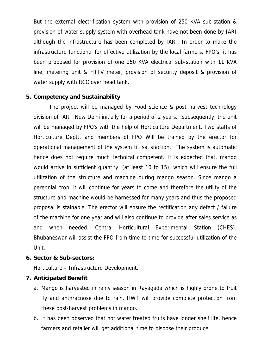But the external electrification system with provision of 250 KVA sub-station & provision of water supply system with overhead tank have not been done by IARI although the infrastructure has been completed by IARI. In order to make the infrastructure functional for effective utilization by the local farmers, FPO's, it has been proposed for provision of one 250 KVA electrical sub-station with 11 KVA line, metering unit & HTTV meter, provision of security deposit & provision of water supply with RCC over head tank.

### **5. Competency and Sustainability**

The project will be managed by Food science & post harvest technology division of IARI, New Delhi initially for a period of 2 years. Subsequently, the unit will be managed by FPO's with the help of Horticulture Department. Two staffs of Horticulture Deptt. and members of FPO Will be trained by the erector for operational management of the system till satisfaction. The system is automatic hence does not require much technical competent. It is expected that, mango would arrive in sufficient quantity. (at least 10 to 15), which will ensure the full utilization of the structure and machine during mango season. Since mango a perennial crop, it will continue for years to come and therefore the utility of the structure and machine would be harnessed for many years and thus the proposed proposal is stainable. The erector will ensure the rectification any defect / failure of the machine for one year and will also continue to provide after sales service as and when needed. Central Horticultural Experimental Station (CHES), Bhubaneswar will assist the FPO from time to time for successful utilization of the Unit.

### **6. Sector & Sub-sectors:**

Horticulture – Infrastructure Development.

### **7. Anticipated Benefit**

- a. Mango is harvested in rainy season in Rayagada which is highly prone to fruit fly and anthracnose due to rain. HWT will provide complete protection from these post-harvest problems in mango.
- b. It has been observed that hot water treated fruits have longer shelf life, hence farmers and retailer will get additional time to dispose their produce.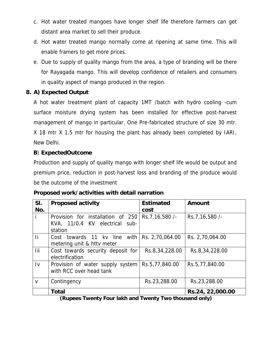- c. Hot water treated mangoes have longer shelf life therefore farmers can get distant area market to sell their produce.
- d. Hot water treated mango normally come at ripening at same time. This will enable framers to get more prices.
- e. Due to supply of quality mango from the area, a type of branding will be there for Rayagada mango. This will develop confidence of retailers and consumers in quality aspect of mango produced in the region.

## **8. A) Expected Output**

A hot water treatment plant of capacity 1MT /batch with hydro cooling -cum surface moisture drying system has been installed for effective post-harvest management of mango in particular. One Pre-fabricated structure of size 30 mtr. X 18 mtr X 1.5 mtr for housing the plant has already been completed by IARI, New Delhi.

## **B**) **ExpectedOutcome**

Production and supply of quality mango with longer shelf life would be output and premium price, reduction in post-harvest loss and branding of the produce would be the outcome of the investment

| SI.<br>No.             | <b>Proposed activity</b>                                                                    | <b>Estimated</b><br>cost | Amount           |
|------------------------|---------------------------------------------------------------------------------------------|--------------------------|------------------|
|                        | Provision for installation of 250<br>KVA, 11/0.4 KV electrical sub-<br>station              | Rs.7, 16, 580 /-         | Rs.7, 16, 580 /- |
| -li                    | Cost towards 11 kv line with $\left  \right $ Rs. 2,70,064.00<br>metering unit & httv meter |                          | Rs. 2,70,064.00  |
| lii.                   | Cost towards security deposit for<br>electrification                                        | Rs.8,34,228.00           | Rs.8,34,228.00   |
| $\mathsf{I}\mathsf{v}$ | Provision of water supply system<br>with RCC over head tank                                 | Rs.5,77,840.00           | Rs.5,77,840.00   |
| $\vee$                 | Contingency                                                                                 | Rs.23,288.00             | Rs.23,288.00     |
|                        | <b>Total</b>                                                                                |                          | Rs.24, 22,000.00 |

**Proposed work/activities with detail narration** 

**(Rupees Twenty Four lakh and Twenty Two thousand only)**